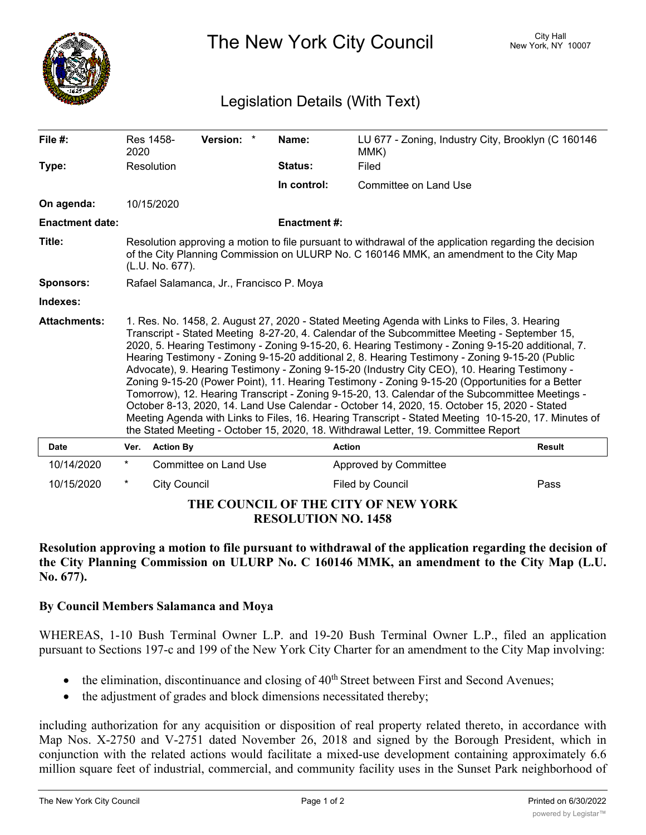

The New York City Council New York, NY 10007

## Legislation Details (With Text)

| File $#$ :                                                        | 2020                                                                                                                                                                                                                                                                                                                                                                                                                                                                                                                                                                                                                                                                                                                                                                                                                                                                                                                                                                                                     | Res 1458-           | Version: *            |  | Name:              | LU 677 - Zoning, Industry City, Brooklyn (C 160146<br>MMK) |               |
|-------------------------------------------------------------------|----------------------------------------------------------------------------------------------------------------------------------------------------------------------------------------------------------------------------------------------------------------------------------------------------------------------------------------------------------------------------------------------------------------------------------------------------------------------------------------------------------------------------------------------------------------------------------------------------------------------------------------------------------------------------------------------------------------------------------------------------------------------------------------------------------------------------------------------------------------------------------------------------------------------------------------------------------------------------------------------------------|---------------------|-----------------------|--|--------------------|------------------------------------------------------------|---------------|
| Type:                                                             |                                                                                                                                                                                                                                                                                                                                                                                                                                                                                                                                                                                                                                                                                                                                                                                                                                                                                                                                                                                                          | Resolution          |                       |  | Status:            | Filed                                                      |               |
|                                                                   |                                                                                                                                                                                                                                                                                                                                                                                                                                                                                                                                                                                                                                                                                                                                                                                                                                                                                                                                                                                                          |                     |                       |  | In control:        | Committee on Land Use                                      |               |
| On agenda:                                                        |                                                                                                                                                                                                                                                                                                                                                                                                                                                                                                                                                                                                                                                                                                                                                                                                                                                                                                                                                                                                          | 10/15/2020          |                       |  |                    |                                                            |               |
| <b>Enactment date:</b>                                            |                                                                                                                                                                                                                                                                                                                                                                                                                                                                                                                                                                                                                                                                                                                                                                                                                                                                                                                                                                                                          |                     |                       |  | <b>Enactment#:</b> |                                                            |               |
| Title:                                                            | Resolution approving a motion to file pursuant to withdrawal of the application regarding the decision<br>of the City Planning Commission on ULURP No. C 160146 MMK, an amendment to the City Map<br>(L.U. No. 677).                                                                                                                                                                                                                                                                                                                                                                                                                                                                                                                                                                                                                                                                                                                                                                                     |                     |                       |  |                    |                                                            |               |
| <b>Sponsors:</b>                                                  | Rafael Salamanca, Jr., Francisco P. Moya                                                                                                                                                                                                                                                                                                                                                                                                                                                                                                                                                                                                                                                                                                                                                                                                                                                                                                                                                                 |                     |                       |  |                    |                                                            |               |
| Indexes:                                                          |                                                                                                                                                                                                                                                                                                                                                                                                                                                                                                                                                                                                                                                                                                                                                                                                                                                                                                                                                                                                          |                     |                       |  |                    |                                                            |               |
| <b>Attachments:</b>                                               | 1. Res. No. 1458, 2. August 27, 2020 - Stated Meeting Agenda with Links to Files, 3. Hearing<br>Transcript - Stated Meeting 8-27-20, 4. Calendar of the Subcommittee Meeting - September 15,<br>2020, 5. Hearing Testimony - Zoning 9-15-20, 6. Hearing Testimony - Zoning 9-15-20 additional, 7.<br>Hearing Testimony - Zoning 9-15-20 additional 2, 8. Hearing Testimony - Zoning 9-15-20 (Public<br>Advocate), 9. Hearing Testimony - Zoning 9-15-20 (Industry City CEO), 10. Hearing Testimony -<br>Zoning 9-15-20 (Power Point), 11. Hearing Testimony - Zoning 9-15-20 (Opportunities for a Better<br>Tomorrow), 12. Hearing Transcript - Zoning 9-15-20, 13. Calendar of the Subcommittee Meetings -<br>October 8-13, 2020, 14. Land Use Calendar - October 14, 2020, 15. October 15, 2020 - Stated<br>Meeting Agenda with Links to Files, 16. Hearing Transcript - Stated Meeting 10-15-20, 17. Minutes of<br>the Stated Meeting - October 15, 2020, 18. Withdrawal Letter, 19. Committee Report |                     |                       |  |                    |                                                            |               |
| <b>Date</b>                                                       | Ver.                                                                                                                                                                                                                                                                                                                                                                                                                                                                                                                                                                                                                                                                                                                                                                                                                                                                                                                                                                                                     | <b>Action By</b>    |                       |  | <b>Action</b>      |                                                            | <b>Result</b> |
| 10/14/2020                                                        | $^\star$                                                                                                                                                                                                                                                                                                                                                                                                                                                                                                                                                                                                                                                                                                                                                                                                                                                                                                                                                                                                 |                     | Committee on Land Use |  |                    | Approved by Committee                                      |               |
| 10/15/2020                                                        | $\ast$                                                                                                                                                                                                                                                                                                                                                                                                                                                                                                                                                                                                                                                                                                                                                                                                                                                                                                                                                                                                   | <b>City Council</b> |                       |  |                    | Filed by Council                                           | Pass          |
| THE COUNCIL OF THE CITY OF NEW YORK<br><b>RESOLUTION NO. 1458</b> |                                                                                                                                                                                                                                                                                                                                                                                                                                                                                                                                                                                                                                                                                                                                                                                                                                                                                                                                                                                                          |                     |                       |  |                    |                                                            |               |

**Resolution approving a motion to file pursuant to withdrawal of the application regarding the decision of the City Planning Commission on ULURP No. C 160146 MMK, an amendment to the City Map (L.U. No. 677).**

## **By Council Members Salamanca and Moya**

WHEREAS, 1-10 Bush Terminal Owner L.P. and 19-20 Bush Terminal Owner L.P., filed an application pursuant to Sections 197-c and 199 of the New York City Charter for an amendment to the City Map involving:

- $\bullet$  the elimination, discontinuance and closing of  $40^{th}$  Street between First and Second Avenues;
- the adjustment of grades and block dimensions necessitated thereby;

including authorization for any acquisition or disposition of real property related thereto, in accordance with Map Nos. X-2750 and V-2751 dated November 26, 2018 and signed by the Borough President, which in conjunction with the related actions would facilitate a mixed-use development containing approximately 6.6 million square feet of industrial, commercial, and community facility uses in the Sunset Park neighborhood of